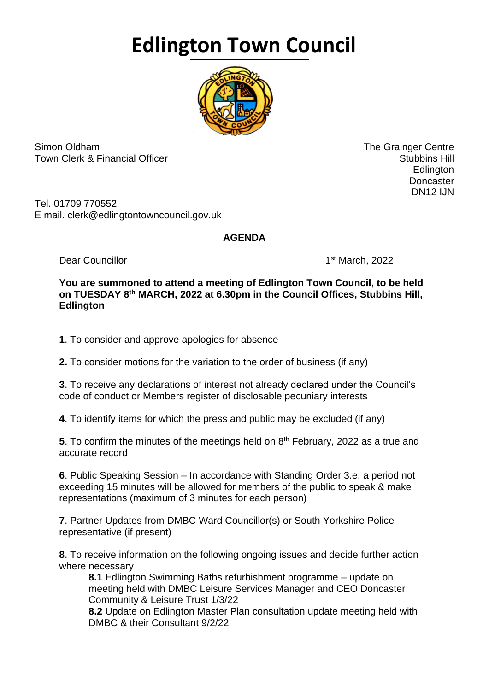## **Edlington Town Council**



Simon Oldham The Grainger Centre Town Clerk & Financial Officer Stubbins Hill and Stubbins Hill and Stubbins Hill and Stubbins Hill and Stubbins Hill

en de la construction de la construction de la construction de la construction de la construction de la constr **Doncaster** DN12 IJN

Tel. 01709 770552 E mail. clerk@edlingtontowncouncil.gov.uk

## **AGENDA**

Dear Councillor

1st March, 2022

## **You are summoned to attend a meeting of Edlington Town Council, to be held on TUESDAY 8 th MARCH, 2022 at 6.30pm in the Council Offices, Stubbins Hill, Edlington**

**1**. To consider and approve apologies for absence

**2.** To consider motions for the variation to the order of business (if any)

**3**. To receive any declarations of interest not already declared under the Council's code of conduct or Members register of disclosable pecuniary interests

**4**. To identify items for which the press and public may be excluded (if any)

**5**. To confirm the minutes of the meetings held on 8<sup>th</sup> February, 2022 as a true and accurate record

**6**. Public Speaking Session – In accordance with Standing Order 3.e, a period not exceeding 15 minutes will be allowed for members of the public to speak & make representations (maximum of 3 minutes for each person)

**7**. Partner Updates from DMBC Ward Councillor(s) or South Yorkshire Police representative (if present)

**8**. To receive information on the following ongoing issues and decide further action where necessary

**8.1** Edlington Swimming Baths refurbishment programme – update on meeting held with DMBC Leisure Services Manager and CEO Doncaster Community & Leisure Trust 1/3/22

**8.2** Update on Edlington Master Plan consultation update meeting held with DMBC & their Consultant 9/2/22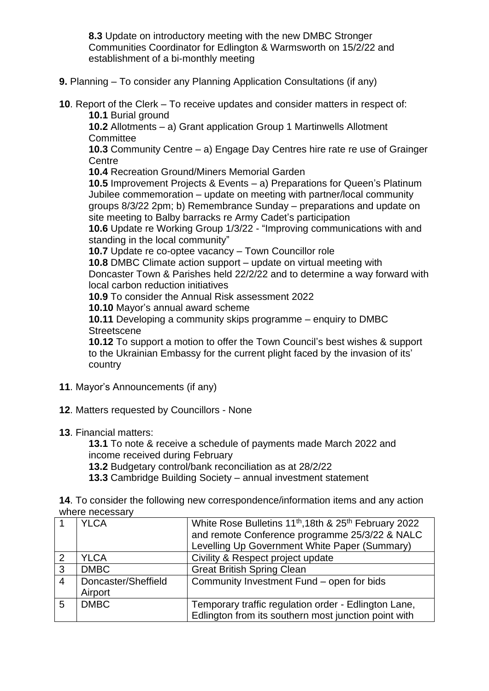**8.3** Update on introductory meeting with the new DMBC Stronger Communities Coordinator for Edlington & Warmsworth on 15/2/22 and establishment of a bi-monthly meeting

- **9.** Planning To consider any Planning Application Consultations (if any)
- **10**. Report of the Clerk To receive updates and consider matters in respect of: **10.1** Burial ground

**10.2** Allotments – a) Grant application Group 1 Martinwells Allotment **Committee** 

**10.3** Community Centre – a) Engage Day Centres hire rate re use of Grainger **Centre** 

**10.4** Recreation Ground/Miners Memorial Garden

**10.5** Improvement Projects & Events – a) Preparations for Queen's Platinum Jubilee commemoration – update on meeting with partner/local community groups 8/3/22 2pm; b) Remembrance Sunday – preparations and update on site meeting to Balby barracks re Army Cadet's participation

**10.6** Update re Working Group 1/3/22 - "Improving communications with and standing in the local community"

**10.7** Update re co-optee vacancy – Town Councillor role

**10.8** DMBC Climate action support – update on virtual meeting with Doncaster Town & Parishes held 22/2/22 and to determine a way forward with

local carbon reduction initiatives

**10.9** To consider the Annual Risk assessment 2022

**10.10** Mayor's annual award scheme

**10.11** Developing a community skips programme – enquiry to DMBC **Streetscene** 

**10.12** To support a motion to offer the Town Council's best wishes & support to the Ukrainian Embassy for the current plight faced by the invasion of its' country

- **11**. Mayor's Announcements (if any)
- **12**. Matters requested by Councillors None
- **13**. Financial matters:

**13.1** To note & receive a schedule of payments made March 2022 and income received during February

**13.2** Budgetary control/bank reconciliation as at 28/2/22

**13.3** Cambridge Building Society – annual investment statement

**14**. To consider the following new correspondence/information items and any action where necessary

|                | <b>YLCA</b>                    | White Rose Bulletins 11 <sup>th</sup> , 18th & 25 <sup>th</sup> February 2022<br>and remote Conference programme 25/3/22 & NALC<br>Levelling Up Government White Paper (Summary) |
|----------------|--------------------------------|----------------------------------------------------------------------------------------------------------------------------------------------------------------------------------|
| 2              | <b>YLCA</b>                    | Civility & Respect project update                                                                                                                                                |
| 3              | <b>DMBC</b>                    | <b>Great British Spring Clean</b>                                                                                                                                                |
| $\overline{4}$ | Doncaster/Sheffield<br>Airport | Community Investment Fund - open for bids                                                                                                                                        |
| 5              | <b>DMBC</b>                    | Temporary traffic regulation order - Edlington Lane,<br>Edlington from its southern most junction point with                                                                     |